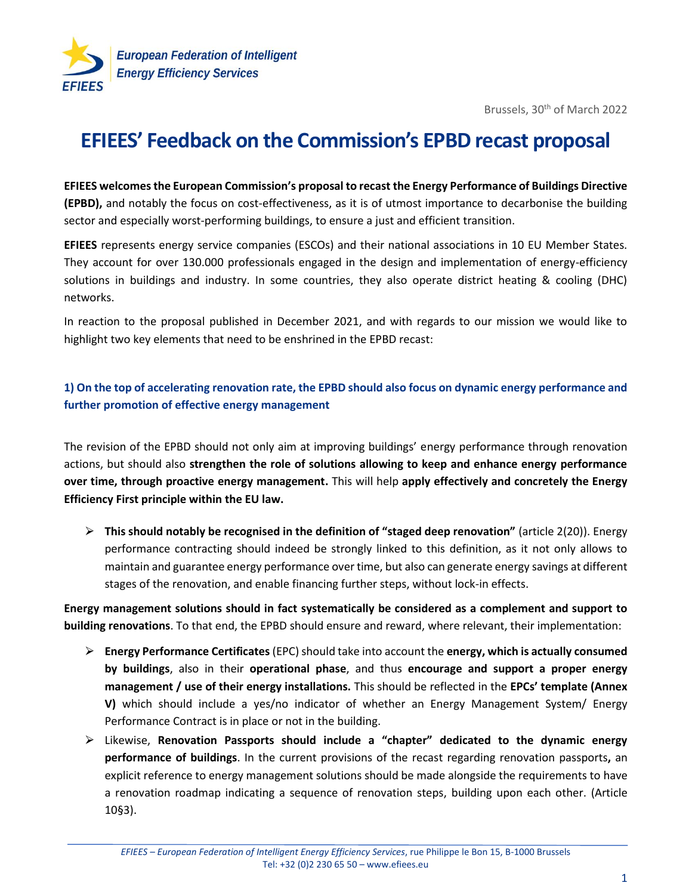

Brussels, 30<sup>th</sup> of March 2022

## **EFIEES' Feedback on the Commission's EPBD recast proposal**

**EFIEES welcomes the European Commission's proposal to recast the Energy Performance of Buildings Directive (EPBD),** and notably the focus on cost-effectiveness, as it is of utmost importance to decarbonise the building sector and especially worst-performing buildings, to ensure a just and efficient transition.

**EFIEES** represents energy service companies (ESCOs) and their national associations in 10 EU Member States. They account for over 130.000 professionals engaged in the design and implementation of energy-efficiency solutions in buildings and industry. In some countries, they also operate district heating & cooling (DHC) networks.

In reaction to the proposal published in December 2021, and with regards to our mission we would like to highlight two key elements that need to be enshrined in the EPBD recast:

## **1) On the top of accelerating renovation rate, the EPBD should also focus on dynamic energy performance and further promotion of effective energy management**

The revision of the EPBD should not only aim at improving buildings' energy performance through renovation actions, but should also **strengthen the role of solutions allowing to keep and enhance energy performance over time, through proactive energy management.** This will help **apply effectively and concretely the Energy Efficiency First principle within the EU law.**

⮚ **This should notably be recognised in the definition of "staged deep renovation"** (article 2(20)). Energy performance contracting should indeed be strongly linked to this definition, as it not only allows to maintain and guarantee energy performance over time, but also can generate energy savings at different stages of the renovation, and enable financing further steps, without lock-in effects.

**Energy management solutions should in fact systematically be considered as a complement and support to building renovations**. To that end, the EPBD should ensure and reward, where relevant, their implementation:

- ⮚ **Energy Performance Certificates** (EPC) should take into account the **energy, which is actually consumed by buildings**, also in their **operational phase**, and thus **encourage and support a proper energy management / use of their energy installations.** This should be reflected in the **EPCs' template (Annex V)** which should include a yes/no indicator of whether an Energy Management System/ Energy Performance Contract is in place or not in the building.
- ⮚ Likewise, **Renovation Passports should include a "chapter" dedicated to the dynamic energy performance of buildings**. In the current provisions of the recast regarding renovation passports**,** an explicit reference to energy management solutions should be made alongside the requirements to have a renovation roadmap indicating a sequence of renovation steps, building upon each other. (Article 10§3).